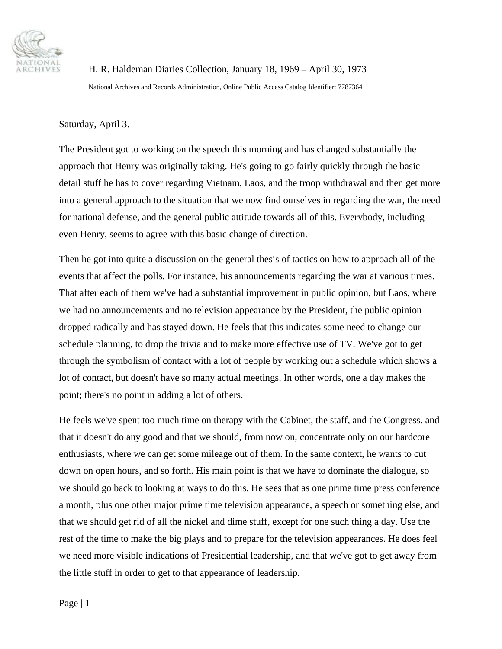

H. R. Haldeman Diaries Collection, January 18, 1969 – April 30, 1973

National Archives and Records Administration, Online Public Access Catalog Identifier: 7787364

Saturday, April 3.

The President got to working on the speech this morning and has changed substantially the approach that Henry was originally taking. He's going to go fairly quickly through the basic detail stuff he has to cover regarding Vietnam, Laos, and the troop withdrawal and then get more into a general approach to the situation that we now find ourselves in regarding the war, the need for national defense, and the general public attitude towards all of this. Everybody, including even Henry, seems to agree with this basic change of direction.

Then he got into quite a discussion on the general thesis of tactics on how to approach all of the events that affect the polls. For instance, his announcements regarding the war at various times. That after each of them we've had a substantial improvement in public opinion, but Laos, where we had no announcements and no television appearance by the President, the public opinion dropped radically and has stayed down. He feels that this indicates some need to change our schedule planning, to drop the trivia and to make more effective use of TV. We've got to get through the symbolism of contact with a lot of people by working out a schedule which shows a lot of contact, but doesn't have so many actual meetings. In other words, one a day makes the point; there's no point in adding a lot of others.

He feels we've spent too much time on therapy with the Cabinet, the staff, and the Congress, and that it doesn't do any good and that we should, from now on, concentrate only on our hardcore enthusiasts, where we can get some mileage out of them. In the same context, he wants to cut down on open hours, and so forth. His main point is that we have to dominate the dialogue, so we should go back to looking at ways to do this. He sees that as one prime time press conference a month, plus one other major prime time television appearance, a speech or something else, and that we should get rid of all the nickel and dime stuff, except for one such thing a day. Use the rest of the time to make the big plays and to prepare for the television appearances. He does feel we need more visible indications of Presidential leadership, and that we've got to get away from the little stuff in order to get to that appearance of leadership.